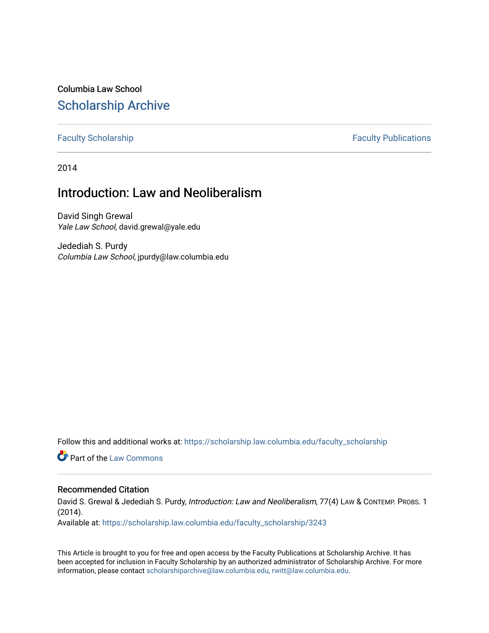Columbia Law School [Scholarship Archive](https://scholarship.law.columbia.edu/) 

[Faculty Scholarship](https://scholarship.law.columbia.edu/faculty_scholarship) **Faculty Scholarship Faculty Publications** 

2014

## Introduction: Law and Neoliberalism

David Singh Grewal Yale Law School, david.grewal@yale.edu

Jedediah S. Purdy Columbia Law School, jpurdy@law.columbia.edu

Follow this and additional works at: [https://scholarship.law.columbia.edu/faculty\\_scholarship](https://scholarship.law.columbia.edu/faculty_scholarship?utm_source=scholarship.law.columbia.edu%2Ffaculty_scholarship%2F3243&utm_medium=PDF&utm_campaign=PDFCoverPages)

**C** Part of the [Law Commons](http://network.bepress.com/hgg/discipline/578?utm_source=scholarship.law.columbia.edu%2Ffaculty_scholarship%2F3243&utm_medium=PDF&utm_campaign=PDFCoverPages)

## Recommended Citation

David S. Grewal & Jedediah S. Purdy, Introduction: Law and Neoliberalism, 77(4) LAW & CONTEMP. PROBS. 1 (2014).

Available at: [https://scholarship.law.columbia.edu/faculty\\_scholarship/3243](https://scholarship.law.columbia.edu/faculty_scholarship/3243?utm_source=scholarship.law.columbia.edu%2Ffaculty_scholarship%2F3243&utm_medium=PDF&utm_campaign=PDFCoverPages)

This Article is brought to you for free and open access by the Faculty Publications at Scholarship Archive. It has been accepted for inclusion in Faculty Scholarship by an authorized administrator of Scholarship Archive. For more information, please contact [scholarshiparchive@law.columbia.edu, rwitt@law.columbia.edu](mailto:scholarshiparchive@law.columbia.edu,%20rwitt@law.columbia.edu).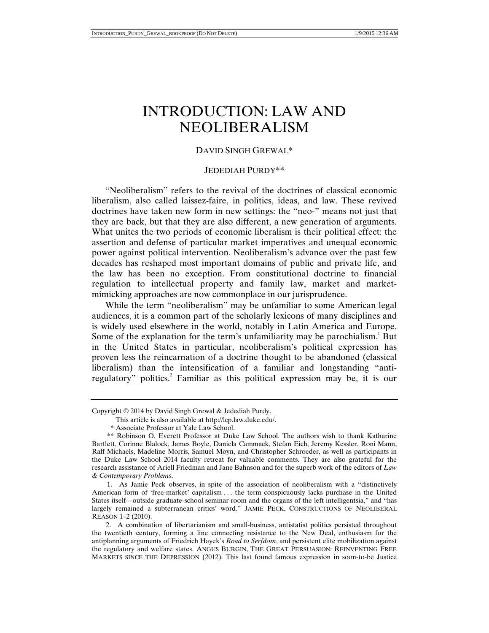# INTRODUCTION: LAW AND NEOLIBERALISM

#### DAVID SINGH GREWAL\*

### JEDEDIAH PURDY\*\*

"Neoliberalism" refers to the revival of the doctrines of classical economic liberalism, also called laissez-faire, in politics, ideas, and law. These revived doctrines have taken new form in new settings: the "neo-" means not just that they are back, but that they are also different, a new generation of arguments. What unites the two periods of economic liberalism is their political effect: the assertion and defense of particular market imperatives and unequal economic power against political intervention. Neoliberalism's advance over the past few decades has reshaped most important domains of public and private life, and the law has been no exception. From constitutional doctrine to financial regulation to intellectual property and family law, market and marketmimicking approaches are now commonplace in our jurisprudence.

While the term "neoliberalism" may be unfamiliar to some American legal audiences, it is a common part of the scholarly lexicons of many disciplines and is widely used elsewhere in the world, notably in Latin America and Europe. Some of the explanation for the term's unfamiliarity may be parochialism.<sup>1</sup> But in the United States in particular, neoliberalism's political expression has proven less the reincarnation of a doctrine thought to be abandoned (classical liberalism) than the intensification of a familiar and longstanding "antiregulatory" politics.<sup>2</sup> Familiar as this political expression may be, it is our

Copyright © 2014 by David Singh Grewal & Jedediah Purdy.

This article is also available at http://lcp.law.duke.edu/.

 <sup>\*</sup> Associate Professor at Yale Law School.

 <sup>\*\*</sup> Robinson O. Everett Professor at Duke Law School. The authors wish to thank Katharine Bartlett, Corinne Blalock, James Boyle, Daniela Cammack, Stefan Eich, Jeremy Kessler, Roni Mann, Ralf Michaels, Madeline Morris, Samuel Moyn, and Christopher Schroeder, as well as participants in the Duke Law School 2014 faculty retreat for valuable comments. They are also grateful for the research assistance of Ariell Friedman and Jane Bahnson and for the superb work of the editors of *Law & Contemporary Problems*.

 <sup>1.</sup> As Jamie Peck observes, in spite of the association of neoliberalism with a "distinctively American form of 'free-market' capitalism . . . the term conspicuously lacks purchase in the United States itself—outside graduate-school seminar room and the organs of the left intelligentsia," and "has largely remained a subterranean critics' word." JAMIE PECK, CONSTRUCTIONS OF NEOLIBERAL REASON 1–2 (2010).

 <sup>2.</sup> A combination of libertarianism and small-business, antistatist politics persisted throughout the twentieth century, forming a line connecting resistance to the New Deal, enthusiasm for the antiplanning arguments of Friedrich Hayek's *Road to Serfdom*, and persistent elite mobilization against the regulatory and welfare states. ANGUS BURGIN, THE GREAT PERSUASION: REINVENTING FREE MARKETS SINCE THE DEPRESSION (2012). This last found famous expression in soon-to-be Justice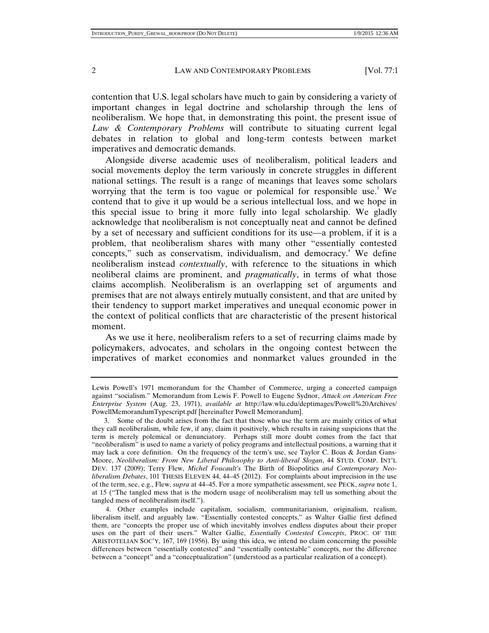contention that U.S. legal scholars have much to gain by considering a variety of important changes in legal doctrine and scholarship through the lens of neoliberalism. We hope that, in demonstrating this point, the present issue of *Law & Contemporary Problems* will contribute to situating current legal debates in relation to global and long-term contests between market imperatives and democratic demands.

Alongside diverse academic uses of neoliberalism, political leaders and social movements deploy the term variously in concrete struggles in different national settings. The result is a range of meanings that leaves some scholars worrying that the term is too vague or polemical for responsible use.<sup>3</sup> We contend that to give it up would be a serious intellectual loss, and we hope in this special issue to bring it more fully into legal scholarship. We gladly acknowledge that neoliberalism is not conceptually neat and cannot be defined by a set of necessary and sufficient conditions for its use—a problem, if it is a problem, that neoliberalism shares with many other "essentially contested concepts," such as conservatism, individualism, and democracy.<sup>4</sup> We define neoliberalism instead *contextually*, with reference to the situations in which neoliberal claims are prominent, and *pragmatically*, in terms of what those claims accomplish. Neoliberalism is an overlapping set of arguments and premises that are not always entirely mutually consistent, and that are united by their tendency to support market imperatives and unequal economic power in the context of political conflicts that are characteristic of the present historical moment.

As we use it here, neoliberalism refers to a set of recurring claims made by policymakers, advocates, and scholars in the ongoing contest between the imperatives of market economies and nonmarket values grounded in the

Lewis Powell's 1971 memorandum for the Chamber of Commerce, urging a concerted campaign against "socialism." Memorandum from Lewis F. Powell to Eugene Sydnor, *Attack on American Free Enterprise System* (Aug. 23, 1971), *available at* http://law.wlu.edu/deptimages/Powell%20Archives/ PowellMemorandumTypescript.pdf [hereinafter Powell Memorandum].

 <sup>3.</sup> Some of the doubt arises from the fact that those who use the term are mainly critics of what they call neoliberalism, while few, if any, claim it positively, which results in raising suspicions that the term is merely polemical or denunciatory. Perhaps still more doubt comes from the fact that "neoliberalism" is used to name a variety of policy programs and intellectual positions, a warning that it may lack a core definition. On the frequency of the term's use, see Taylor C. Boas & Jordan Gans-Moore, *Neoliberalism: From New Liberal Philosophy to Anti-liberal Slogan*, 44 STUD. COMP. INT'L DEV. 137 (2009); Terry Flew, *Michel Foucault's* The Birth of Biopolitics *and Contemporary Neoliberalism Debates*, 101 THESIS ELEVEN 44, 44–45 (2012). For complaints about imprecision in the use of the term, see, e.g., Flew, *supra* at 44–45. For a more sympathetic assessment, see PECK, *supra* note 1, at 15 ("The tangled mess that is the modern usage of neoliberalism may tell us something about the tangled mess of neoliberalism itself.").

 <sup>4.</sup> Other examples include capitalism, socialism, communitarianism, originalism, realism, liberalism itself, and arguably law. "Essentially contested concepts," as Walter Gallie first defined them, are "concepts the proper use of which inevitably involves endless disputes about their proper uses on the part of their users." Walter Gallie, *Essentially Contested Concepts*, PROC. OF THE ARISTOTELIAN SOC'Y, 167, 169 (1956). By using this idea, we intend no claim concerning the possible differences between "essentially contested" and "essentially contestable" concepts, nor the difference between a "concept" and a "conceptualization" (understood as a particular realization of a concept).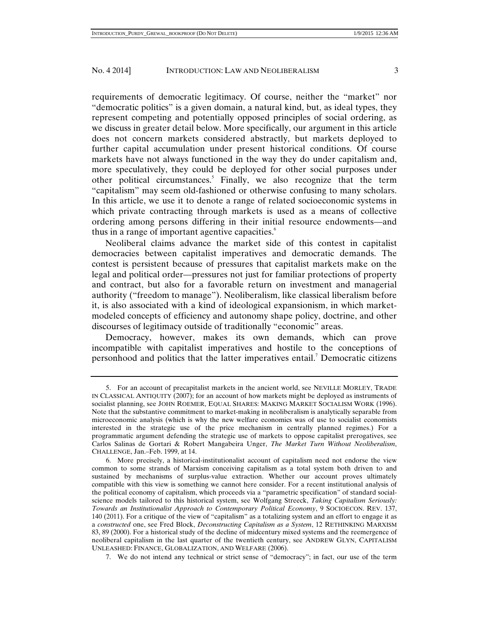requirements of democratic legitimacy. Of course, neither the "market" nor "democratic politics" is a given domain, a natural kind, but, as ideal types, they represent competing and potentially opposed principles of social ordering, as we discuss in greater detail below. More specifically, our argument in this article does not concern markets considered abstractly, but markets deployed to further capital accumulation under present historical conditions. Of course markets have not always functioned in the way they do under capitalism and, more speculatively, they could be deployed for other social purposes under other political circumstances.<sup>5</sup> Finally, we also recognize that the term "capitalism" may seem old-fashioned or otherwise confusing to many scholars. In this article, we use it to denote a range of related socioeconomic systems in which private contracting through markets is used as a means of collective ordering among persons differing in their initial resource endowments—and thus in a range of important agentive capacities.<sup>6</sup>

Neoliberal claims advance the market side of this contest in capitalist democracies between capitalist imperatives and democratic demands. The contest is persistent because of pressures that capitalist markets make on the legal and political order—pressures not just for familiar protections of property and contract, but also for a favorable return on investment and managerial authority ("freedom to manage"). Neoliberalism, like classical liberalism before it, is also associated with a kind of ideological expansionism, in which marketmodeled concepts of efficiency and autonomy shape policy, doctrine, and other discourses of legitimacy outside of traditionally "economic" areas.

Democracy, however, makes its own demands, which can prove incompatible with capitalist imperatives and hostile to the conceptions of personhood and politics that the latter imperatives entail.<sup>7</sup> Democratic citizens

 <sup>5.</sup> For an account of precapitalist markets in the ancient world, see NEVILLE MORLEY, TRADE IN CLASSICAL ANTIQUITY (2007); for an account of how markets might be deployed as instruments of socialist planning, see JOHN ROEMER, EQUAL SHARES: MAKING MARKET SOCIALISM WORK (1996). Note that the substantive commitment to market-making in neoliberalism is analytically separable from microeconomic analysis (which is why the new welfare economics was of use to socialist economists interested in the strategic use of the price mechanism in centrally planned regimes.) For a programmatic argument defending the strategic use of markets to oppose capitalist prerogatives, see Carlos Salinas de Gortari & Robert Mangabeira Unger, *The Market Turn Without Neoliberalism*, CHALLENGE, Jan.–Feb. 1999, at 14.

 <sup>6.</sup> More precisely, a historical-institutionalist account of capitalism need not endorse the view common to some strands of Marxism conceiving capitalism as a total system both driven to and sustained by mechanisms of surplus-value extraction. Whether our account proves ultimately compatible with this view is something we cannot here consider. For a recent institutional analysis of the political economy of capitalism, which proceeds via a "parametric specification" of standard socialscience models tailored to this historical system, see Wolfgang Streeck, *Taking Capitalism Seriously: Towards an Institutionalist Approach to Contemporary Political Economy*, 9 SOCIOECON. REV. 137, 140 (2011). For a critique of the view of "capitalism" as a totalizing system and an effort to engage it as a *constructed* one, see Fred Block, *Deconstructing Capitalism as a System*, 12 RETHINKING MARXISM 83, 89 (2000). For a historical study of the decline of midcentury mixed systems and the reemergence of neoliberal capitalism in the last quarter of the twentieth century, see ANDREW GLYN, CAPITALISM UNLEASHED: FINANCE, GLOBALIZATION, AND WELFARE (2006).

 <sup>7.</sup> We do not intend any technical or strict sense of "democracy"; in fact, our use of the term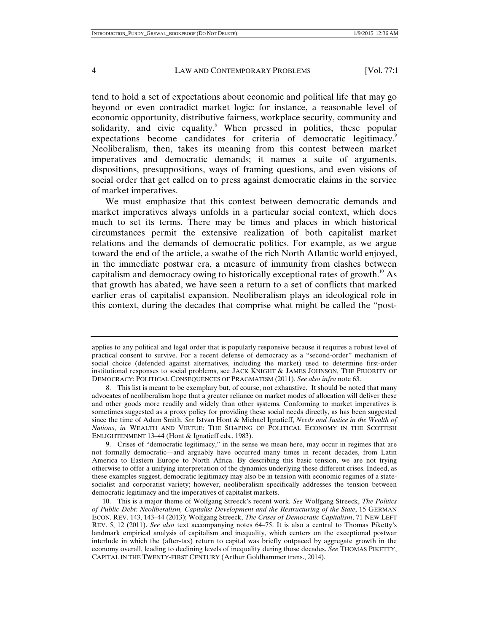tend to hold a set of expectations about economic and political life that may go beyond or even contradict market logic: for instance, a reasonable level of economic opportunity, distributive fairness, workplace security, community and solidarity, and civic equality.<sup>8</sup> When pressed in politics, these popular expectations become candidates for criteria of democratic legitimacy.<sup>9</sup> Neoliberalism, then, takes its meaning from this contest between market imperatives and democratic demands; it names a suite of arguments, dispositions, presuppositions, ways of framing questions, and even visions of social order that get called on to press against democratic claims in the service of market imperatives.

We must emphasize that this contest between democratic demands and market imperatives always unfolds in a particular social context, which does much to set its terms. There may be times and places in which historical circumstances permit the extensive realization of both capitalist market relations and the demands of democratic politics. For example, as we argue toward the end of the article, a swathe of the rich North Atlantic world enjoyed, in the immediate postwar era, a measure of immunity from clashes between capitalism and democracy owing to historically exceptional rates of growth.<sup>10</sup> As that growth has abated, we have seen a return to a set of conflicts that marked earlier eras of capitalist expansion. Neoliberalism plays an ideological role in this context, during the decades that comprise what might be called the "post-

 9. Crises of "democratic legitimacy," in the sense we mean here, may occur in regimes that are not formally democratic—and arguably have occurred many times in recent decades, from Latin America to Eastern Europe to North Africa. By describing this basic tension, we are not trying otherwise to offer a unifying interpretation of the dynamics underlying these different crises. Indeed, as these examples suggest, democratic legitimacy may also be in tension with economic regimes of a statesocialist and corporatist variety; however, neoliberalism specifically addresses the tension between democratic legitimacy and the imperatives of capitalist markets.

 10. This is a major theme of Wolfgang Streeck's recent work. *See* Wolfgang Streeck, *The Politics of Public Debt: Neoliberalism, Capitalist Development and the Restructuring of the State*, 15 GERMAN ECON. REV. 143, 143–44 (2013); Wolfgang Streeck, *The Crises of Democratic Capitalism*, 71 NEW LEFT REV. 5, 12 (2011). *See also* text accompanying notes 64–75. It is also a central to Thomas Piketty's landmark empirical analysis of capitalism and inequality, which centers on the exceptional postwar interlude in which the (after-tax) return to capital was briefly outpaced by aggregate growth in the economy overall, leading to declining levels of inequality during those decades. *See* THOMAS PIKETTY, CAPITAL IN THE TWENTY-FIRST CENTURY (Arthur Goldhammer trans., 2014).

applies to any political and legal order that is popularly responsive because it requires a robust level of practical consent to survive. For a recent defense of democracy as a "second-order" mechanism of social choice (defended against alternatives, including the market) used to determine first-order institutional responses to social problems, see JACK KNIGHT & JAMES JOHNSON, THE PRIORITY OF DEMOCRACY: POLITICAL CONSEQUENCES OF PRAGMATISM (2011). *See also infra* note 63.

 <sup>8.</sup> This list is meant to be exemplary but, of course, not exhaustive. It should be noted that many advocates of neoliberalism hope that a greater reliance on market modes of allocation will deliver these and other goods more readily and widely than other systems. Conforming to market imperatives is sometimes suggested as a proxy policy for providing these social needs directly, as has been suggested since the time of Adam Smith. *See* Istvan Hont & Michael Ignatieff, *Needs and Justice in the Wealth of Nations*, *in* WEALTH AND VIRTUE: THE SHAPING OF POLITICAL ECONOMY IN THE SCOTTISH ENLIGHTENMENT 13–44 (Hont & Ignatieff eds., 1983).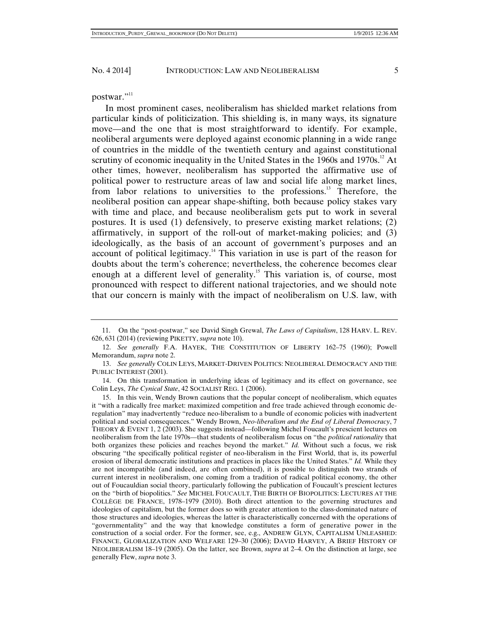postwar."<sup>11</sup>

In most prominent cases, neoliberalism has shielded market relations from particular kinds of politicization. This shielding is, in many ways, its signature move—and the one that is most straightforward to identify. For example, neoliberal arguments were deployed against economic planning in a wide range of countries in the middle of the twentieth century and against constitutional scrutiny of economic inequality in the United States in the 1960s and 1970s.<sup>12</sup> At other times, however, neoliberalism has supported the affirmative use of political power to restructure areas of law and social life along market lines, from labor relations to universities to the professions.13 Therefore, the neoliberal position can appear shape-shifting, both because policy stakes vary with time and place, and because neoliberalism gets put to work in several postures. It is used (1) defensively, to preserve existing market relations; (2) affirmatively, in support of the roll-out of market-making policies; and (3) ideologically, as the basis of an account of government's purposes and an account of political legitimacy.<sup>14</sup> This variation in use is part of the reason for doubts about the term's coherence; nevertheless, the coherence becomes clear enough at a different level of generality.<sup>15</sup> This variation is, of course, most pronounced with respect to different national trajectories, and we should note that our concern is mainly with the impact of neoliberalism on U.S. law, with

 <sup>11.</sup> On the "post-postwar," see David Singh Grewal, *The Laws of Capitalism*, 128 HARV. L. REV. 626, 631 (2014) (reviewing PIKETTY, *supra* note 10).

 <sup>12.</sup> *See generally* F.A. HAYEK, THE CONSTITUTION OF LIBERTY 162–75 (1960); Powell Memorandum, *supra* note 2.

 <sup>13.</sup> *See generally* COLIN LEYS, MARKET-DRIVEN POLITICS: NEOLIBERAL DEMOCRACY AND THE PUBLIC INTEREST (2001).

 <sup>14.</sup> On this transformation in underlying ideas of legitimacy and its effect on governance, see Colin Leys, *The Cynical State*, 42 SOCIALIST REG. 1 (2006).

 <sup>15.</sup> In this vein, Wendy Brown cautions that the popular concept of neoliberalism, which equates it "with a radically free market: maximized competition and free trade achieved through economic deregulation" may inadvertently "reduce neo-liberalism to a bundle of economic policies with inadvertent political and social consequences." Wendy Brown, *Neo-liberalism and the End of Liberal Democracy*, 7 THEORY & EVENT 1, 2 (2003). She suggests instead—following Michel Foucault's prescient lectures on neoliberalism from the late 1970s—that students of neoliberalism focus on "the *political rationality* that both organizes these policies and reaches beyond the market." *Id.* Without such a focus, we risk obscuring "the specifically political register of neo-liberalism in the First World, that is, its powerful erosion of liberal democratic institutions and practices in places like the United States." *Id.* While they are not incompatible (and indeed, are often combined), it is possible to distinguish two strands of current interest in neoliberalism, one coming from a tradition of radical political economy, the other out of Foucauldian social theory, particularly following the publication of Foucault's prescient lectures on the "birth of biopolitics." *See* MICHEL FOUCAULT, THE BIRTH OF BIOPOLITICS: LECTURES AT THE COLLÈGE DE FRANCE, 1978–1979 (2010). Both direct attention to the governing structures and ideologies of capitalism, but the former does so with greater attention to the class-dominated nature of those structures and ideologies, whereas the latter is characteristically concerned with the operations of "governmentality" and the way that knowledge constitutes a form of generative power in the construction of a social order. For the former, see, e.g., ANDREW GLYN, CAPITALISM UNLEASHED: FINANCE, GLOBALIZATION AND WELFARE 129–30 (2006); DAVID HARVEY, A BRIEF HISTORY OF NEOLIBERALISM 18–19 (2005). On the latter, see Brown, *supra* at 2–4. On the distinction at large, see generally Flew, *supra* note 3.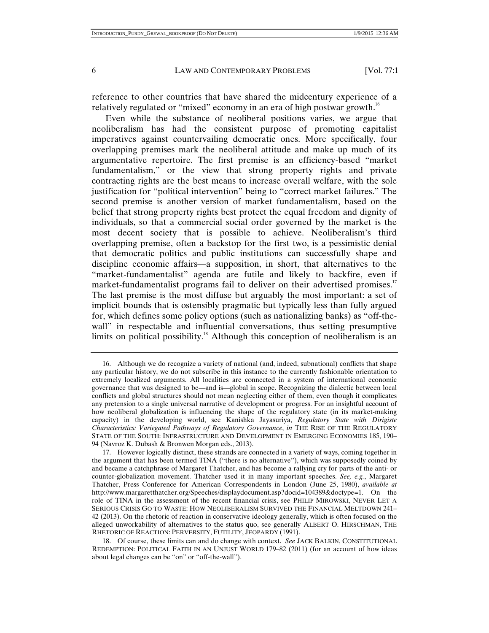reference to other countries that have shared the midcentury experience of a relatively regulated or "mixed" economy in an era of high postwar growth.<sup>16</sup>

Even while the substance of neoliberal positions varies, we argue that neoliberalism has had the consistent purpose of promoting capitalist imperatives against countervailing democratic ones. More specifically, four overlapping premises mark the neoliberal attitude and make up much of its argumentative repertoire. The first premise is an efficiency-based "market fundamentalism," or the view that strong property rights and private contracting rights are the best means to increase overall welfare, with the sole justification for "political intervention" being to "correct market failures." The second premise is another version of market fundamentalism, based on the belief that strong property rights best protect the equal freedom and dignity of individuals, so that a commercial social order governed by the market is the most decent society that is possible to achieve. Neoliberalism's third overlapping premise, often a backstop for the first two, is a pessimistic denial that democratic politics and public institutions can successfully shape and discipline economic affairs—a supposition, in short, that alternatives to the "market-fundamentalist" agenda are futile and likely to backfire, even if market-fundamentalist programs fail to deliver on their advertised promises.<sup>17</sup> The last premise is the most diffuse but arguably the most important: a set of implicit bounds that is ostensibly pragmatic but typically less than fully argued for, which defines some policy options (such as nationalizing banks) as "off-thewall" in respectable and influential conversations, thus setting presumptive limits on political possibility.<sup>18</sup> Although this conception of neoliberalism is an

 <sup>16.</sup> Although we do recognize a variety of national (and, indeed, subnational) conflicts that shape any particular history, we do not subscribe in this instance to the currently fashionable orientation to extremely localized arguments. All localities are connected in a system of international economic governance that was designed to be—and is—global in scope. Recognizing the dialectic between local conflicts and global structures should not mean neglecting either of them, even though it complicates any pretension to a single universal narrative of development or progress. For an insightful account of how neoliberal globalization is influencing the shape of the regulatory state (in its market-making capacity) in the developing world, see Kanishka Jayasuriya, *Regulatory State with Dirigiste Characteristics: Variegated Pathways of Regulatory Governance*, *in* THE RISE OF THE REGULATORY STATE OF THE SOUTH: INFRASTRUCTURE AND DEVELOPMENT IN EMERGING ECONOMIES 185, 190– 94 (Navroz K. Dubash & Bronwen Morgan eds., 2013).

 <sup>17.</sup> However logically distinct, these strands are connected in a variety of ways, coming together in the argument that has been termed TINA ("there is no alternative"), which was supposedly coined by and became a catchphrase of Margaret Thatcher, and has become a rallying cry for parts of the anti- or counter-globalization movement. Thatcher used it in many important speeches. *See, e.g.*, Margaret Thatcher, Press Conference for American Correspondents in London (June 25, 1980), *available at* http://www.margaretthatcher.org/Speeches/displaydocument.asp?docid=104389&doctype=1. On the role of TINA in the assessment of the recent financial crisis, see PHILIP MIROWSKI, NEVER LET A SERIOUS CRISIS GO TO WASTE: HOW NEOLIBERALISM SURVIVED THE FINANCIAL MELTDOWN 241– 42 (2013). On the rhetoric of reaction in conservative ideology generally, which is often focused on the alleged unworkability of alternatives to the status quo, see generally ALBERT O. HIRSCHMAN, THE RHETORIC OF REACTION: PERVERSITY, FUTILITY, JEOPARDY (1991).

 <sup>18.</sup> Of course, these limits can and do change with context. *See* JACK BALKIN, CONSTITUTIONAL REDEMPTION: POLITICAL FAITH IN AN UNJUST WORLD 179–82 (2011) (for an account of how ideas about legal changes can be "on" or "off-the-wall").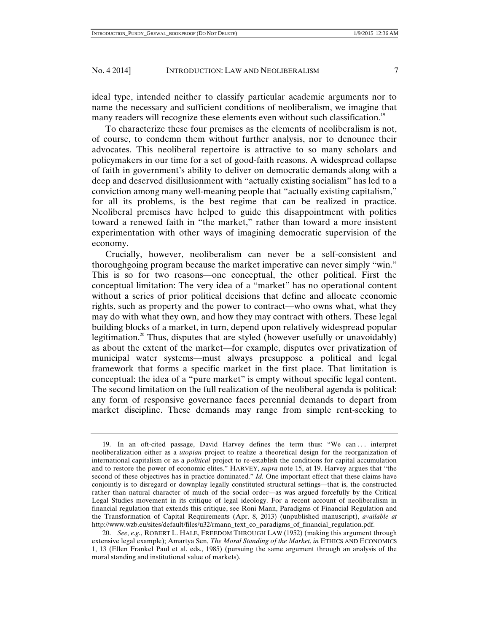ideal type, intended neither to classify particular academic arguments nor to name the necessary and sufficient conditions of neoliberalism, we imagine that many readers will recognize these elements even without such classification.<sup>19</sup>

To characterize these four premises as the elements of neoliberalism is not, of course, to condemn them without further analysis, nor to denounce their advocates. This neoliberal repertoire is attractive to so many scholars and policymakers in our time for a set of good-faith reasons. A widespread collapse of faith in government's ability to deliver on democratic demands along with a deep and deserved disillusionment with "actually existing socialism" has led to a conviction among many well-meaning people that "actually existing capitalism," for all its problems, is the best regime that can be realized in practice. Neoliberal premises have helped to guide this disappointment with politics toward a renewed faith in "the market," rather than toward a more insistent experimentation with other ways of imagining democratic supervision of the economy.

Crucially, however, neoliberalism can never be a self-consistent and thoroughgoing program because the market imperative can never simply "win." This is so for two reasons—one conceptual, the other political. First the conceptual limitation: The very idea of a "market" has no operational content without a series of prior political decisions that define and allocate economic rights, such as property and the power to contract—who owns what, what they may do with what they own, and how they may contract with others. These legal building blocks of a market, in turn, depend upon relatively widespread popular legitimation.<sup>20</sup> Thus, disputes that are styled (however usefully or unavoidably) as about the extent of the market—for example, disputes over privatization of municipal water systems—must always presuppose a political and legal framework that forms a specific market in the first place. That limitation is conceptual: the idea of a "pure market" is empty without specific legal content. The second limitation on the full realization of the neoliberal agenda is political: any form of responsive governance faces perennial demands to depart from market discipline. These demands may range from simple rent-seeking to

 <sup>19.</sup> In an oft-cited passage, David Harvey defines the term thus: "We can . . . interpret neoliberalization either as a *utopian* project to realize a theoretical design for the reorganization of international capitalism or as a *political* project to re-establish the conditions for capital accumulation and to restore the power of economic elites." HARVEY, *supra* note 15, at 19. Harvey argues that "the second of these objectives has in practice dominated." *Id.* One important effect that these claims have conjointly is to disregard or downplay legally constituted structural settings—that is, the constructed rather than natural character of much of the social order—as was argued forcefully by the Critical Legal Studies movement in its critique of legal ideology. For a recent account of neoliberalism in financial regulation that extends this critique, see Roni Mann, Paradigms of Financial Regulation and the Transformation of Capital Requirements (Apr. 8, 2013) (unpublished manuscript), *available at*  http://www.wzb.eu/sites/default/files/u32/rmann\_text\_co\_paradigms\_of\_financial\_regulation.pdf.

 <sup>20.</sup> *See*, *e.g.*, ROBERT L. HALE, FREEDOM THROUGH LAW (1952) (making this argument through extensive legal example); Amartya Sen, *The Moral Standing of the Market*, *in* ETHICS AND ECONOMICS 1, 13 (Ellen Frankel Paul et al. eds., 1985) (pursuing the same argument through an analysis of the moral standing and institutional value of markets).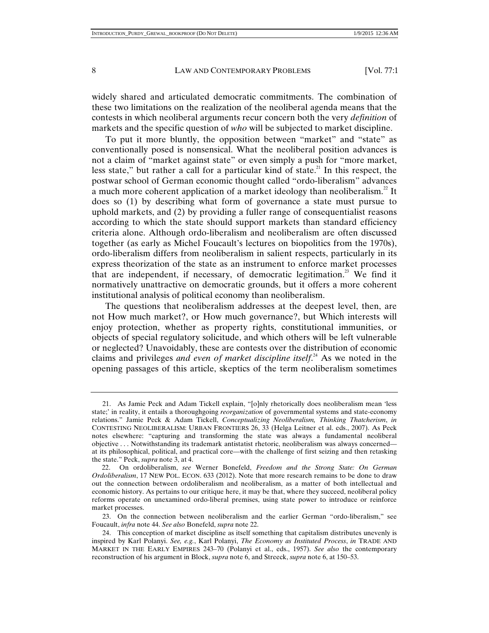widely shared and articulated democratic commitments. The combination of these two limitations on the realization of the neoliberal agenda means that the contests in which neoliberal arguments recur concern both the very *definition* of markets and the specific question of *who* will be subjected to market discipline.

To put it more bluntly, the opposition between "market" and "state" as conventionally posed is nonsensical. What the neoliberal position advances is not a claim of "market against state" or even simply a push for "more market, less state," but rather a call for a particular kind of state.<sup>21</sup> In this respect, the postwar school of German economic thought called "ordo-liberalism" advances a much more coherent application of a market ideology than neoliberalism.<sup>22</sup> It does so (1) by describing what form of governance a state must pursue to uphold markets, and (2) by providing a fuller range of consequentialist reasons according to which the state should support markets than standard efficiency criteria alone. Although ordo-liberalism and neoliberalism are often discussed together (as early as Michel Foucault's lectures on biopolitics from the 1970s), ordo-liberalism differs from neoliberalism in salient respects, particularly in its express theorization of the state as an instrument to enforce market processes that are independent, if necessary, of democratic legitimation.<sup>23</sup> We find it normatively unattractive on democratic grounds, but it offers a more coherent institutional analysis of political economy than neoliberalism.

The questions that neoliberalism addresses at the deepest level, then, are not How much market?, or How much governance?, but Which interests will enjoy protection, whether as property rights, constitutional immunities, or objects of special regulatory solicitude, and which others will be left vulnerable or neglected? Unavoidably, these are contests over the distribution of economic claims and privileges *and even of market discipline itself*. 24 As we noted in the opening passages of this article, skeptics of the term neoliberalism sometimes

 <sup>21.</sup> As Jamie Peck and Adam Tickell explain, "[o]nly rhetorically does neoliberalism mean 'less state;' in reality, it entails a thoroughgoing *reorganization* of governmental systems and state-economy relations." Jamie Peck & Adam Tickell, *Conceptualizing Neoliberalism, Thinking Thatcherism*, *in* CONTESTING NEOLIBERALISM: URBAN FRONTIERS 26, 33 (Helga Leitner et al. eds., 2007). As Peck notes elsewhere: "capturing and transforming the state was always a fundamental neoliberal objective . . . Notwithstanding its trademark antistatist rhetoric, neoliberalism was always concerned at its philosophical, political, and practical core—with the challenge of first seizing and then retasking the state." Peck, *supra* note 3, at 4.

 <sup>22.</sup> On ordoliberalism, *see* Werner Bonefeld, *Freedom and the Strong State: On German Ordoliberalism*, 17 NEW POL. ECON. 633 (2012). Note that more research remains to be done to draw out the connection between ordoliberalism and neoliberalism, as a matter of both intellectual and economic history. As pertains to our critique here, it may be that, where they succeed, neoliberal policy reforms operate on unexamined ordo-liberal premises, using state power to introduce or reinforce market processes.

 <sup>23.</sup> On the connection between neoliberalism and the earlier German "ordo-liberalism," see Foucault, *infra* note 44. *See also* Bonefeld, *supra* note 22.

 <sup>24.</sup> This conception of market discipline as itself something that capitalism distributes unevenly is inspired by Karl Polanyi. *See, e.g.*, Karl Polanyi, *The Economy as Instituted Process*, *in* TRADE AND MARKET IN THE EARLY EMPIRES 243–70 (Polanyi et al., eds., 1957). *See also* the contemporary reconstruction of his argument in Block, *supra* note 6, and Streeck, *supra* note 6, at 150–53.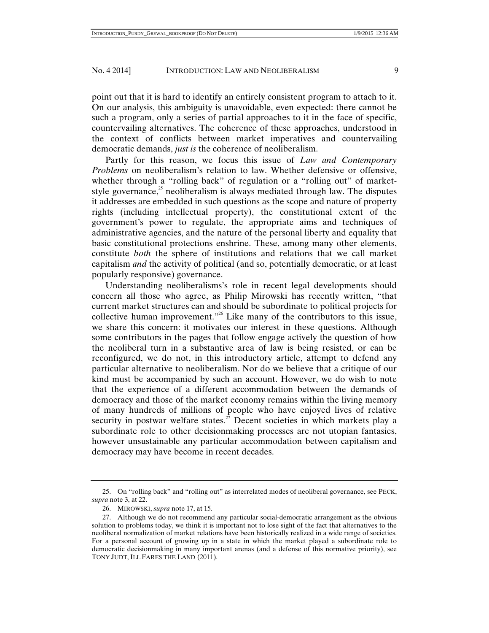point out that it is hard to identify an entirely consistent program to attach to it. On our analysis, this ambiguity is unavoidable, even expected: there cannot be such a program, only a series of partial approaches to it in the face of specific,

countervailing alternatives. The coherence of these approaches, understood in the context of conflicts between market imperatives and countervailing democratic demands, *just is* the coherence of neoliberalism.

Partly for this reason, we focus this issue of *Law and Contemporary Problems* on neoliberalism's relation to law. Whether defensive or offensive, whether through a "rolling back" of regulation or a "rolling out" of marketstyle governance, $^{25}$  neoliberalism is always mediated through law. The disputes it addresses are embedded in such questions as the scope and nature of property rights (including intellectual property), the constitutional extent of the government's power to regulate, the appropriate aims and techniques of administrative agencies, and the nature of the personal liberty and equality that basic constitutional protections enshrine. These, among many other elements, constitute *both* the sphere of institutions and relations that we call market capitalism *and* the activity of political (and so, potentially democratic, or at least popularly responsive) governance.

Understanding neoliberalisms's role in recent legal developments should concern all those who agree, as Philip Mirowski has recently written, "that current market structures can and should be subordinate to political projects for collective human improvement."26 Like many of the contributors to this issue, we share this concern: it motivates our interest in these questions. Although some contributors in the pages that follow engage actively the question of how the neoliberal turn in a substantive area of law is being resisted, or can be reconfigured, we do not, in this introductory article, attempt to defend any particular alternative to neoliberalism. Nor do we believe that a critique of our kind must be accompanied by such an account. However, we do wish to note that the experience of a different accommodation between the demands of democracy and those of the market economy remains within the living memory of many hundreds of millions of people who have enjoyed lives of relative security in postwar welfare states.<sup>27</sup> Decent societies in which markets play a subordinate role to other decisionmaking processes are not utopian fantasies, however unsustainable any particular accommodation between capitalism and democracy may have become in recent decades.

 <sup>25.</sup> On "rolling back" and "rolling out" as interrelated modes of neoliberal governance, see PECK, *supra* note 3, at 22.

 <sup>26.</sup> MIROWSKI, *supra* note 17, at 15.

 <sup>27.</sup> Although we do not recommend any particular social-democratic arrangement as the obvious solution to problems today, we think it is important not to lose sight of the fact that alternatives to the neoliberal normalization of market relations have been historically realized in a wide range of societies. For a personal account of growing up in a state in which the market played a subordinate role to democratic decisionmaking in many important arenas (and a defense of this normative priority), see TONY JUDT, ILL FARES THE LAND (2011).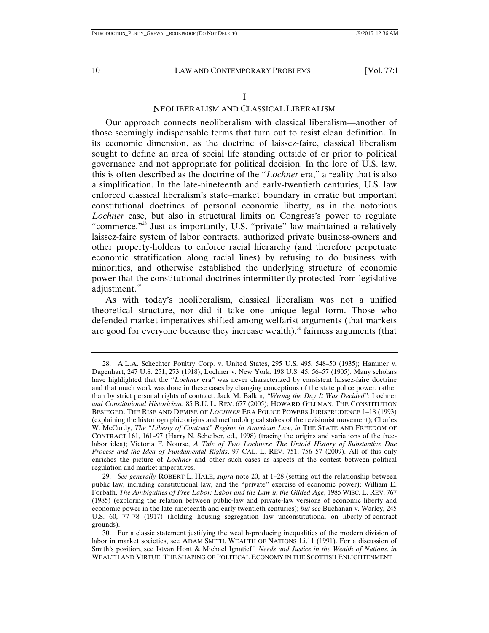#### I

### NEOLIBERALISM AND CLASSICAL LIBERALISM

Our approach connects neoliberalism with classical liberalism—another of those seemingly indispensable terms that turn out to resist clean definition. In its economic dimension, as the doctrine of laissez-faire, classical liberalism sought to define an area of social life standing outside of or prior to political governance and not appropriate for political decision. In the lore of U.S. law, this is often described as the doctrine of the "*Lochner* era," a reality that is also a simplification. In the late-nineteenth and early-twentieth centuries, U.S. law enforced classical liberalism's state–market boundary in erratic but important constitutional doctrines of personal economic liberty, as in the notorious *Lochner* case, but also in structural limits on Congress's power to regulate "commerce."<sup>28</sup> Just as importantly, U.S. "private" law maintained a relatively laissez-faire system of labor contracts, authorized private business-owners and other property-holders to enforce racial hierarchy (and therefore perpetuate economic stratification along racial lines) by refusing to do business with minorities, and otherwise established the underlying structure of economic power that the constitutional doctrines intermittently protected from legislative adjustment.<sup>29</sup>

As with today's neoliberalism, classical liberalism was not a unified theoretical structure, nor did it take one unique legal form. Those who defended market imperatives shifted among welfarist arguments (that markets are good for everyone because they increase wealth), $30$  fairness arguments (that

 <sup>28.</sup> A.L.A. Schechter Poultry Corp. v. United States, 295 U.S. 495, 548–50 (1935); Hammer v. Dagenhart, 247 U.S. 251, 273 (1918); Lochner v. New York, 198 U.S. 45, 56–57 (1905). Many scholars have highlighted that the "*Lochner* era" was never characterized by consistent laissez-faire doctrine and that much work was done in these cases by changing conceptions of the state police power, rather than by strict personal rights of contract. Jack M. Balkin, *"Wrong the Day It Was Decided":* Lochner *and Constitutional Historicism*, 85 B.U. L. REV. 677 (2005); HOWARD GILLMAN, THE CONSTITUTION BESIEGED: THE RISE AND DEMISE OF *LOCHNER* ERA POLICE POWERS JURISPRUDENCE 1–18 (1993) (explaining the historiographic origins and methodological stakes of the revisionist movement); Charles W. McCurdy, *The "Liberty of Contract" Regime in American Law*, *in* THE STATE AND FREEDOM OF CONTRACT 161, 161–97 (Harry N. Scheiber, ed., 1998) (tracing the origins and variations of the freelabor idea); Victoria F. Nourse, *A Tale of Two Lochners: The Untold History of Substantive Due Process and the Idea of Fundamental Rights*, 97 CAL. L. REV. 751, 756–57 (2009). All of this only enriches the picture of *Lochner* and other such cases as aspects of the contest between political regulation and market imperatives.

 <sup>29.</sup> *See generally* ROBERT L. HALE, *supra* note 20, at 1–28 (setting out the relationship between public law, including constitutional law, and the "private" exercise of economic power); William E. Forbath, *The Ambiguities of Free Labor: Labor and the Law in the Gilded Age*, 1985 WISC. L. REV. 767 (1985) (exploring the relation between public-law and private-law versions of economic liberty and economic power in the late nineteenth and early twentieth centuries); *but see* Buchanan v. Warley, 245 U.S. 60, 77–78 (1917) (holding housing segregation law unconstitutional on liberty-of-contract grounds).

 <sup>30.</sup> For a classic statement justifying the wealth-producing inequalities of the modern division of labor in market societies, see ADAM SMITH, WEALTH OF NATIONS 1.i.11 (1991). For a discussion of Smith's position, see Istvan Hont & Michael Ignatieff, *Needs and Justice in the Wealth of Nations*, *in*  WEALTH AND VIRTUE: THE SHAPING OF POLITICAL ECONOMY IN THE SCOTTISH ENLIGHTENMENT 1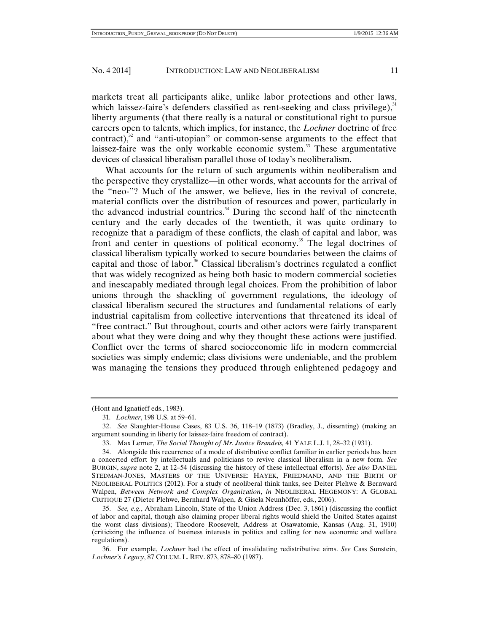markets treat all participants alike, unlike labor protections and other laws, which laissez-faire's defenders classified as rent-seeking and class privilege), $31$ liberty arguments (that there really is a natural or constitutional right to pursue careers open to talents, which implies, for instance, the *Lochner* doctrine of free contract), $32$  and "anti-utopian" or common-sense arguments to the effect that laissez-faire was the only workable economic system.<sup>33</sup> These argumentative devices of classical liberalism parallel those of today's neoliberalism.

What accounts for the return of such arguments within neoliberalism and the perspective they crystallize—in other words, what accounts for the arrival of the "neo-"? Much of the answer, we believe, lies in the revival of concrete, material conflicts over the distribution of resources and power, particularly in the advanced industrial countries.<sup>34</sup> During the second half of the nineteenth century and the early decades of the twentieth, it was quite ordinary to recognize that a paradigm of these conflicts, the clash of capital and labor, was front and center in questions of political economy.<sup>35</sup> The legal doctrines of classical liberalism typically worked to secure boundaries between the claims of capital and those of labor.<sup>36</sup> Classical liberalism's doctrines regulated a conflict that was widely recognized as being both basic to modern commercial societies and inescapably mediated through legal choices. From the prohibition of labor unions through the shackling of government regulations, the ideology of classical liberalism secured the structures and fundamental relations of early industrial capitalism from collective interventions that threatened its ideal of "free contract." But throughout, courts and other actors were fairly transparent about what they were doing and why they thought these actions were justified. Conflict over the terms of shared socioeconomic life in modern commercial societies was simply endemic; class divisions were undeniable, and the problem was managing the tensions they produced through enlightened pedagogy and

<sup>(</sup>Hont and Ignatieff eds., 1983).

<sup>31</sup>*. Lochner*, 198 U.S. at 59–61.

 <sup>32.</sup> *See* Slaughter-House Cases, 83 U.S. 36, 118–19 (1873) (Bradley, J., dissenting) (making an argument sounding in liberty for laissez-faire freedom of contract).

 <sup>33.</sup> Max Lerner, *The Social Thought of Mr. Justice Brandeis,* 41 YALE L.J. 1, 28–32 (1931).

 <sup>34.</sup> Alongside this recurrence of a mode of distributive conflict familiar in earlier periods has been a concerted effort by intellectuals and politicians to revive classical liberalism in a new form. *See* BURGIN, *supra* note 2, at 12–54 (discussing the history of these intellectual efforts). *See also* DANIEL STEDMAN-JONES, MASTERS OF THE UNIVERSE: HAYEK, FRIEDMAND, AND THE BIRTH OF NEOLIBERAL POLITICS (2012). For a study of neoliberal think tanks, see Deiter Plehwe & Bernward Walpen, *Between Network and Complex Organization*, *in* NEOLIBERAL HEGEMONY: A GLOBAL CRITIQUE 27 (Dieter Plehwe, Bernhard Walpen, & Gisela Neunhöffer, eds., 2006).

 <sup>35.</sup> *See, e.g.*, Abraham Lincoln, State of the Union Address (Dec. 3, 1861) (discussing the conflict of labor and capital, though also claiming proper liberal rights would shield the United States against the worst class divisions); Theodore Roosevelt, Address at Osawatomie, Kansas (Aug. 31, 1910) (criticizing the influence of business interests in politics and calling for new economic and welfare regulations).

 <sup>36.</sup> For example, *Lochner* had the effect of invalidating redistributive aims. *See* Cass Sunstein, *Lochner's Legacy*, 87 COLUM. L. REV. 873, 878–80 (1987).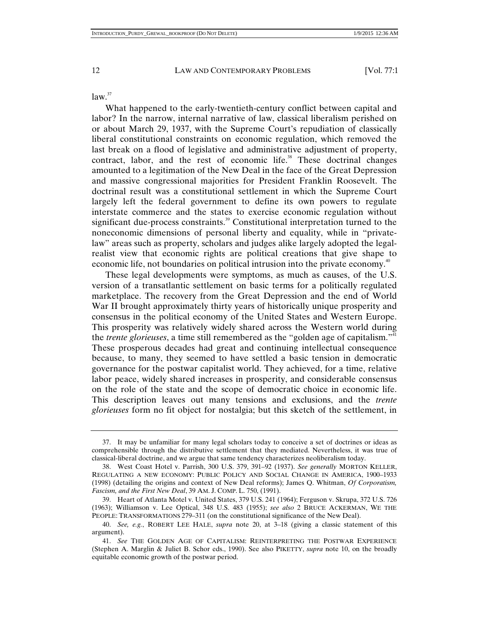$law.<sup>37</sup>$ 

What happened to the early-twentieth-century conflict between capital and labor? In the narrow, internal narrative of law, classical liberalism perished on or about March 29, 1937, with the Supreme Court's repudiation of classically liberal constitutional constraints on economic regulation, which removed the last break on a flood of legislative and administrative adjustment of property, contract, labor, and the rest of economic life.<sup>38</sup> These doctrinal changes amounted to a legitimation of the New Deal in the face of the Great Depression and massive congressional majorities for President Franklin Roosevelt. The doctrinal result was a constitutional settlement in which the Supreme Court largely left the federal government to define its own powers to regulate interstate commerce and the states to exercise economic regulation without significant due-process constraints.<sup>39</sup> Constitutional interpretation turned to the noneconomic dimensions of personal liberty and equality, while in "privatelaw" areas such as property, scholars and judges alike largely adopted the legalrealist view that economic rights are political creations that give shape to economic life, not boundaries on political intrusion into the private economy.<sup>40</sup>

These legal developments were symptoms, as much as causes, of the U.S. version of a transatlantic settlement on basic terms for a politically regulated marketplace. The recovery from the Great Depression and the end of World War II brought approximately thirty years of historically unique prosperity and consensus in the political economy of the United States and Western Europe. This prosperity was relatively widely shared across the Western world during the *trente glorieuses*, a time still remembered as the "golden age of capitalism."<sup>41</sup> These prosperous decades had great and continuing intellectual consequence because, to many, they seemed to have settled a basic tension in democratic governance for the postwar capitalist world. They achieved, for a time, relative labor peace, widely shared increases in prosperity, and considerable consensus on the role of the state and the scope of democratic choice in economic life. This description leaves out many tensions and exclusions, and the *trente glorieuses* form no fit object for nostalgia; but this sketch of the settlement, in

 <sup>37.</sup> It may be unfamiliar for many legal scholars today to conceive a set of doctrines or ideas as comprehensible through the distributive settlement that they mediated. Nevertheless, it was true of classical-liberal doctrine, and we argue that same tendency characterizes neoliberalism today.

 <sup>38.</sup> West Coast Hotel v. Parrish, 300 U.S. 379, 391–92 (1937). *See generally* MORTON KELLER, REGULATING A NEW ECONOMY: PUBLIC POLICY AND SOCIAL CHANGE IN AMERICA, 1900–1933 (1998) (detailing the origins and context of New Deal reforms); James Q. Whitman, *Of Corporatism, Fascism, and the First New Deal*, 39 AM. J. COMP. L. 750, (1991).

 <sup>39.</sup> Heart of Atlanta Motel v. United States, 379 U.S. 241 (1964); Ferguson v. Skrupa, 372 U.S. 726 (1963); Williamson v. Lee Optical, 348 U.S. 483 (1955); *see also* 2 BRUCE ACKERMAN, WE THE PEOPLE: TRANSFORMATIONS 279–311 (on the constitutional significance of the New Deal).

 <sup>40.</sup> *See, e.g.*, ROBERT LEE HALE, *supra* note 20, at 3–18 (giving a classic statement of this argument).

 <sup>41.</sup> *See* THE GOLDEN AGE OF CAPITALISM: REINTERPRETING THE POSTWAR EXPERIENCE (Stephen A. Marglin & Juliet B. Schor eds., 1990). See also PIKETTY, *supra* note 10, on the broadly equitable economic growth of the postwar period.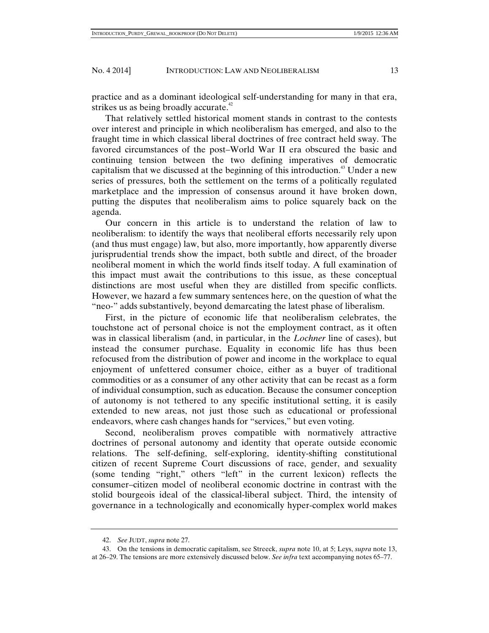practice and as a dominant ideological self-understanding for many in that era, strikes us as being broadly accurate.<sup>42</sup>

That relatively settled historical moment stands in contrast to the contests over interest and principle in which neoliberalism has emerged, and also to the fraught time in which classical liberal doctrines of free contract held sway. The favored circumstances of the post–World War II era obscured the basic and continuing tension between the two defining imperatives of democratic capitalism that we discussed at the beginning of this introduction.<sup>43</sup> Under a new series of pressures, both the settlement on the terms of a politically regulated marketplace and the impression of consensus around it have broken down, putting the disputes that neoliberalism aims to police squarely back on the agenda.

Our concern in this article is to understand the relation of law to neoliberalism: to identify the ways that neoliberal efforts necessarily rely upon (and thus must engage) law, but also, more importantly, how apparently diverse jurisprudential trends show the impact, both subtle and direct, of the broader neoliberal moment in which the world finds itself today. A full examination of this impact must await the contributions to this issue, as these conceptual distinctions are most useful when they are distilled from specific conflicts. However, we hazard a few summary sentences here, on the question of what the "neo-" adds substantively, beyond demarcating the latest phase of liberalism.

First, in the picture of economic life that neoliberalism celebrates, the touchstone act of personal choice is not the employment contract, as it often was in classical liberalism (and, in particular, in the *Lochner* line of cases), but instead the consumer purchase. Equality in economic life has thus been refocused from the distribution of power and income in the workplace to equal enjoyment of unfettered consumer choice, either as a buyer of traditional commodities or as a consumer of any other activity that can be recast as a form of individual consumption, such as education. Because the consumer conception of autonomy is not tethered to any specific institutional setting, it is easily extended to new areas, not just those such as educational or professional endeavors, where cash changes hands for "services," but even voting.

Second, neoliberalism proves compatible with normatively attractive doctrines of personal autonomy and identity that operate outside economic relations. The self-defining, self-exploring, identity-shifting constitutional citizen of recent Supreme Court discussions of race, gender, and sexuality (some tending "right," others "left" in the current lexicon) reflects the consumer–citizen model of neoliberal economic doctrine in contrast with the stolid bourgeois ideal of the classical-liberal subject. Third, the intensity of governance in a technologically and economically hyper-complex world makes

 <sup>42.</sup> *See* JUDT, *supra* note 27.

 <sup>43.</sup> On the tensions in democratic capitalism, see Streeck, *supra* note 10, at 5; Leys, *supra* note 13, at 26–29. The tensions are more extensively discussed below. *See infra* text accompanying notes 65–77.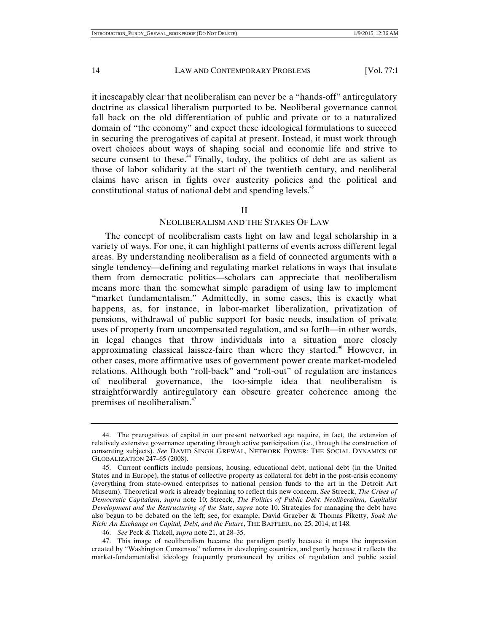it inescapably clear that neoliberalism can never be a "hands-off" antiregulatory doctrine as classical liberalism purported to be. Neoliberal governance cannot fall back on the old differentiation of public and private or to a naturalized domain of "the economy" and expect these ideological formulations to succeed in securing the prerogatives of capital at present. Instead, it must work through overt choices about ways of shaping social and economic life and strive to secure consent to these.<sup>44</sup> Finally, today, the politics of debt are as salient as those of labor solidarity at the start of the twentieth century, and neoliberal claims have arisen in fights over austerity policies and the political and constitutional status of national debt and spending levels.<sup>45</sup>

#### II

#### NEOLIBERALISM AND THE STAKES OF LAW

The concept of neoliberalism casts light on law and legal scholarship in a variety of ways. For one, it can highlight patterns of events across different legal areas. By understanding neoliberalism as a field of connected arguments with a single tendency—defining and regulating market relations in ways that insulate them from democratic politics—scholars can appreciate that neoliberalism means more than the somewhat simple paradigm of using law to implement "market fundamentalism." Admittedly, in some cases, this is exactly what happens, as, for instance, in labor-market liberalization, privatization of pensions, withdrawal of public support for basic needs, insulation of private uses of property from uncompensated regulation, and so forth—in other words, in legal changes that throw individuals into a situation more closely approximating classical laissez-faire than where they started.<sup>46</sup> However, in other cases, more affirmative uses of government power create market-modeled relations. Although both "roll-back" and "roll-out" of regulation are instances of neoliberal governance, the too-simple idea that neoliberalism is straightforwardly antiregulatory can obscure greater coherence among the premises of neoliberalism.<sup>47</sup>

 <sup>44.</sup> The prerogatives of capital in our present networked age require, in fact, the extension of relatively extensive governance operating through active participation (i.e., through the construction of consenting subjects). *See* DAVID SINGH GREWAL, NETWORK POWER: THE SOCIAL DYNAMICS OF GLOBALIZATION 247–65 (2008).

 <sup>45.</sup> Current conflicts include pensions, housing, educational debt, national debt (in the United States and in Europe), the status of collective property as collateral for debt in the post-crisis economy (everything from state-owned enterprises to national pension funds to the art in the Detroit Art Museum). Theoretical work is already beginning to reflect this new concern. *See* Streeck, *The Crises of Democratic Capitalism*, *supra* note 10; Streeck, *The Politics of Public Debt: Neoliberalism, Capitalist Development and the Restructuring of the State*, *supra* note 10. Strategies for managing the debt have also begun to be debated on the left; see, for example, David Graeber & Thomas Piketty, *Soak the Rich: An Exchange on Capital, Debt, and the Future*, THE BAFFLER, no. 25, 2014, at 148.

 <sup>46.</sup> *See* Peck & Tickell, *supra* note 21, at 28–35.

 <sup>47.</sup> This image of neoliberalism became the paradigm partly because it maps the impression created by "Washington Consensus" reforms in developing countries, and partly because it reflects the market-fundamentalist ideology frequently pronounced by critics of regulation and public social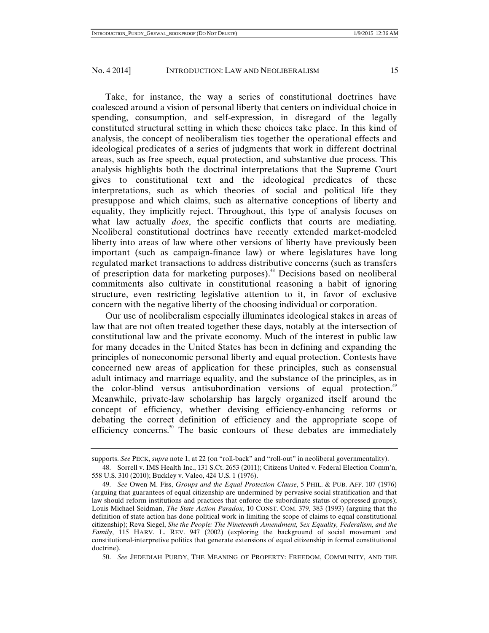Take, for instance, the way a series of constitutional doctrines have coalesced around a vision of personal liberty that centers on individual choice in spending, consumption, and self-expression, in disregard of the legally constituted structural setting in which these choices take place. In this kind of analysis, the concept of neoliberalism ties together the operational effects and ideological predicates of a series of judgments that work in different doctrinal areas, such as free speech, equal protection, and substantive due process. This analysis highlights both the doctrinal interpretations that the Supreme Court gives to constitutional text and the ideological predicates of these interpretations, such as which theories of social and political life they presuppose and which claims, such as alternative conceptions of liberty and equality, they implicitly reject. Throughout, this type of analysis focuses on what law actually *does*, the specific conflicts that courts are mediating. Neoliberal constitutional doctrines have recently extended market-modeled liberty into areas of law where other versions of liberty have previously been important (such as campaign-finance law) or where legislatures have long regulated market transactions to address distributive concerns (such as transfers of prescription data for marketing purposes).48 Decisions based on neoliberal commitments also cultivate in constitutional reasoning a habit of ignoring structure, even restricting legislative attention to it, in favor of exclusive concern with the negative liberty of the choosing individual or corporation.

Our use of neoliberalism especially illuminates ideological stakes in areas of law that are not often treated together these days, notably at the intersection of constitutional law and the private economy. Much of the interest in public law for many decades in the United States has been in defining and expanding the principles of noneconomic personal liberty and equal protection. Contests have concerned new areas of application for these principles, such as consensual adult intimacy and marriage equality, and the substance of the principles, as in the color-blind versus antisubordination versions of equal protection.<sup>49</sup> Meanwhile, private-law scholarship has largely organized itself around the concept of efficiency, whether devising efficiency-enhancing reforms or debating the correct definition of efficiency and the appropriate scope of efficiency concerns.<sup>50</sup> The basic contours of these debates are immediately

supports. *See* PECK, *supra* note 1, at 22 (on "roll-back" and "roll-out" in neoliberal governmentality).

 <sup>48.</sup> Sorrell v. IMS Health Inc., 131 S.Ct. 2653 (2011); Citizens United v. Federal Election Comm'n, 558 U.S. 310 (2010); Buckley v. Valeo, 424 U.S. 1 (1976).

 <sup>49.</sup> *See* Owen M. Fiss, *Groups and the Equal Protection Clause*, 5 PHIL. & PUB. AFF. 107 (1976) (arguing that guarantees of equal citizenship are undermined by pervasive social stratification and that law should reform institutions and practices that enforce the subordinate status of oppressed groups); Louis Michael Seidman, *The State Action Paradox*, 10 CONST. COM. 379, 383 (1993) (arguing that the definition of state action has done political work in limiting the scope of claims to equal constitutional citizenship); Reva Siegel, *She the People: The Nineteenth Amendment, Sex Equality, Federalism, and the Family*, 115 HARV. L. REV. 947 (2002) (exploring the background of social movement and constitutional-interpretive politics that generate extensions of equal citizenship in formal constitutional doctrine).

 <sup>50.</sup> *See* JEDEDIAH PURDY, THE MEANING OF PROPERTY: FREEDOM, COMMUNITY, AND THE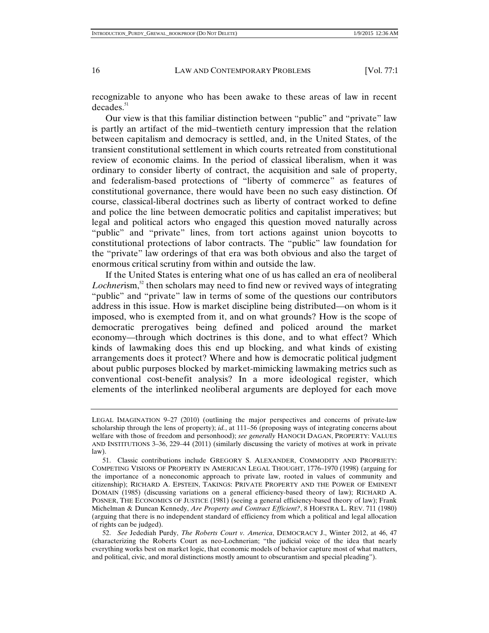recognizable to anyone who has been awake to these areas of law in recent  $decades.<sup>51</sup>$ 

Our view is that this familiar distinction between "public" and "private" law is partly an artifact of the mid–twentieth century impression that the relation between capitalism and democracy is settled, and, in the United States, of the transient constitutional settlement in which courts retreated from constitutional review of economic claims. In the period of classical liberalism, when it was ordinary to consider liberty of contract, the acquisition and sale of property, and federalism-based protections of "liberty of commerce" as features of constitutional governance, there would have been no such easy distinction. Of course, classical-liberal doctrines such as liberty of contract worked to define and police the line between democratic politics and capitalist imperatives; but legal and political actors who engaged this question moved naturally across "public" and "private" lines, from tort actions against union boycotts to constitutional protections of labor contracts. The "public" law foundation for the "private" law orderings of that era was both obvious and also the target of enormous critical scrutiny from within and outside the law.

If the United States is entering what one of us has called an era of neoliberal *Lochnerism*,<sup>52</sup> then scholars may need to find new or revived ways of integrating "public" and "private" law in terms of some of the questions our contributors address in this issue. How is market discipline being distributed—on whom is it imposed, who is exempted from it, and on what grounds? How is the scope of democratic prerogatives being defined and policed around the market economy—through which doctrines is this done, and to what effect? Which kinds of lawmaking does this end up blocking, and what kinds of existing arrangements does it protect? Where and how is democratic political judgment about public purposes blocked by market-mimicking lawmaking metrics such as conventional cost-benefit analysis? In a more ideological register, which elements of the interlinked neoliberal arguments are deployed for each move

LEGAL IMAGINATION 9–27 (2010) (outlining the major perspectives and concerns of private-law scholarship through the lens of property); *id.*, at 111–56 (proposing ways of integrating concerns about welfare with those of freedom and personhood); *see generally* HANOCH DAGAN, PROPERTY: VALUES AND INSTITUTIONS 3–36, 229–44 (2011) (similarly discussing the variety of motives at work in private law).

 <sup>51.</sup> Classic contributions include GREGORY S. ALEXANDER, COMMODITY AND PROPRIETY: COMPETING VISIONS OF PROPERTY IN AMERICAN LEGAL THOUGHT, 1776–1970 (1998) (arguing for the importance of a noneconomic approach to private law, rooted in values of community and citizenship); RICHARD A. EPSTEIN, TAKINGS: PRIVATE PROPERTY AND THE POWER OF EMINENT DOMAIN (1985) (discussing variations on a general efficiency-based theory of law); RICHARD A. POSNER, THE ECONOMICS OF JUSTICE (1981) (seeing a general efficiency-based theory of law); Frank Michelman & Duncan Kennedy, *Are Property and Contract Efficient?*, 8 HOFSTRA L. REV. 711 (1980) (arguing that there is no independent standard of efficiency from which a political and legal allocation of rights can be judged).

 <sup>52.</sup> *See* Jedediah Purdy, *The Roberts Court v. America*, DEMOCRACY J., Winter 2012, at 46, 47 (characterizing the Roberts Court as neo-Lochnerian; "the judicial voice of the idea that nearly everything works best on market logic, that economic models of behavior capture most of what matters, and political, civic, and moral distinctions mostly amount to obscurantism and special pleading").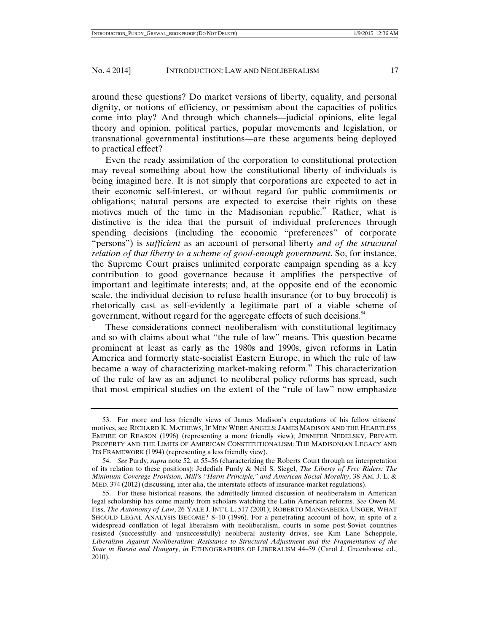around these questions? Do market versions of liberty, equality, and personal dignity, or notions of efficiency, or pessimism about the capacities of politics come into play? And through which channels—judicial opinions, elite legal theory and opinion, political parties, popular movements and legislation, or transnational governmental institutions—are these arguments being deployed to practical effect?

Even the ready assimilation of the corporation to constitutional protection may reveal something about how the constitutional liberty of individuals is being imagined here. It is not simply that corporations are expected to act in their economic self-interest, or without regard for public commitments or obligations; natural persons are expected to exercise their rights on these motives much of the time in the Madisonian republic.<sup>53</sup> Rather, what is distinctive is the idea that the pursuit of individual preferences through spending decisions (including the economic "preferences" of corporate "persons") is *sufficient* as an account of personal liberty *and of the structural relation of that liberty to a scheme of good-enough government*. So, for instance, the Supreme Court praises unlimited corporate campaign spending as a key contribution to good governance because it amplifies the perspective of important and legitimate interests; and, at the opposite end of the economic scale, the individual decision to refuse health insurance (or to buy broccoli) is rhetorically cast as self-evidently a legitimate part of a viable scheme of government, without regard for the aggregate effects of such decisions.<sup>54</sup>

These considerations connect neoliberalism with constitutional legitimacy and so with claims about what "the rule of law" means. This question became prominent at least as early as the 1980s and 1990s, given reforms in Latin America and formerly state-socialist Eastern Europe, in which the rule of law became a way of characterizing market-making reform.<sup>55</sup> This characterization of the rule of law as an adjunct to neoliberal policy reforms has spread, such that most empirical studies on the extent of the "rule of law" now emphasize

 <sup>53.</sup> For more and less friendly views of James Madison's expectations of his fellow citizens' motives, see RICHARD K. MATHEWS, IF MEN WERE ANGELS: JAMES MADISON AND THE HEARTLESS EMPIRE OF REASON (1996) (representing a more friendly view); JENNIFER NEDELSKY, PRIVATE PROPERTY AND THE LIMITS OF AMERICAN CONSTITUTIONALISM: THE MADISONIAN LEGACY AND ITS FRAMEWORK (1994) (representing a less friendly view).

 <sup>54.</sup> *See* Purdy, *supra* note 52, at 55–56 (characterizing the Roberts Court through an interpretation of its relation to these positions); Jedediah Purdy & Neil S. Siegel, *The Liberty of Free Riders: The Minimum Coverage Provision, Mill's "Harm Principle," and American Social Morality*, 38 AM. J. L. & MED. 374 (2012) (discussing, inter alia, the interstate effects of insurance-market regulations).

 <sup>55.</sup> For these historical reasons, the admittedly limited discussion of neoliberalism in American legal scholarship has come mainly from scholars watching the Latin American reforms. *See* Owen M. Fiss, *The Autonomy of Law*, 26 YALE J. INT'L L. 517 (2001); ROBERTO MANGABEIRA UNGER, WHAT SHOULD LEGAL ANALYSIS BECOME? 8–10 (1996). For a penetrating account of how, in spite of a widespread conflation of legal liberalism with neoliberalism, courts in some post-Soviet countries resisted (successfully and unsuccessfully) neoliberal austerity drives, see Kim Lane Scheppele, *Liberalism Against Neoliberalism: Resistance to Structural Adjustment and the Fragmentation of the State in Russia and Hungary*, *in* ETHNOGRAPHIES OF LIBERALISM 44–59 (Carol J. Greenhouse ed., 2010).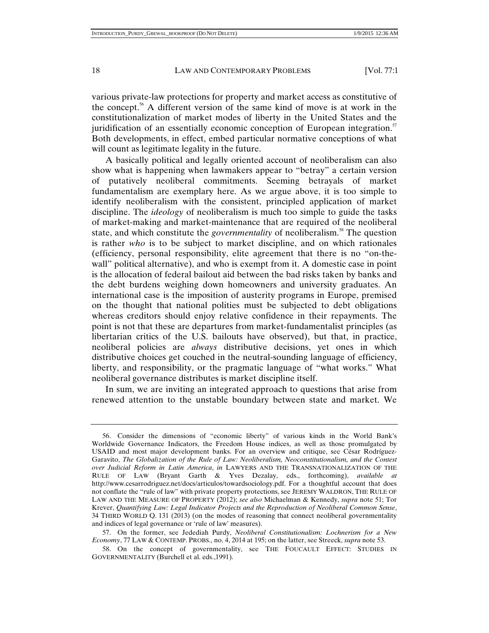various private-law protections for property and market access as constitutive of the concept.56 A different version of the same kind of move is at work in the constitutionalization of market modes of liberty in the United States and the juridification of an essentially economic conception of European integration.<sup>57</sup> Both developments, in effect, embed particular normative conceptions of what will count as legitimate legality in the future.

A basically political and legally oriented account of neoliberalism can also show what is happening when lawmakers appear to "betray" a certain version of putatively neoliberal commitments. Seeming betrayals of market fundamentalism are exemplary here. As we argue above, it is too simple to identify neoliberalism with the consistent, principled application of market discipline. The *ideology* of neoliberalism is much too simple to guide the tasks of market-making and market-maintenance that are required of the neoliberal state, and which constitute the *governmentality* of neoliberalism.<sup>58</sup> The question is rather *who* is to be subject to market discipline, and on which rationales (efficiency, personal responsibility, elite agreement that there is no "on-thewall" political alternative), and who is exempt from it. A domestic case in point is the allocation of federal bailout aid between the bad risks taken by banks and the debt burdens weighing down homeowners and university graduates. An international case is the imposition of austerity programs in Europe, premised on the thought that national polities must be subjected to debt obligations whereas creditors should enjoy relative confidence in their repayments. The point is not that these are departures from market-fundamentalist principles (as libertarian critics of the U.S. bailouts have observed), but that, in practice, neoliberal policies are *always* distributive decisions, yet ones in which distributive choices get couched in the neutral-sounding language of efficiency, liberty, and responsibility, or the pragmatic language of "what works." What neoliberal governance distributes is market discipline itself.

In sum, we are inviting an integrated approach to questions that arise from renewed attention to the unstable boundary between state and market. We

 <sup>56.</sup> Consider the dimensions of "economic liberty" of various kinds in the World Bank's Worldwide Governance Indicators, the Freedom House indices, as well as those promulgated by USAID and most major development banks. For an overview and critique, see César Rodríguez-Garavito, *The Globalization of the Rule of Law: Neoliberalism, Neoconstitutionalism, and the Contest over Judicial Reform in Latin America*, *in* LAWYERS AND THE TRANSNATIONALIZATION OF THE RULE OF LAW (Bryant Garth & Yves Dezalay, eds., forthcoming), *available at* http://www.cesarrodriguez.net/docs/articulos/towardsociology.pdf. For a thoughtful account that does not conflate the "rule of law" with private property protections, see JEREMY WALDRON, THE RULE OF LAW AND THE MEASURE OF PROPERTY (2012); *see also* Michaelman & Kennedy, *supra* note 51; Tor Krever, *Quantifying Law: Legal Indicator Projects and the Reproduction of Neoliberal Common Sense*, 34 THIRD WORLD Q. 131 (2013) (on the modes of reasoning that connect neoliberal governmentality and indices of legal governance or 'rule of law' measures).

 <sup>57.</sup> On the former, see Jedediah Purdy, *Neoliberal Constitutionalism: Lochnerism for a New Economy*, 77 LAW & CONTEMP. PROBS., no. 4, 2014 at 195; on the latter, see Streeck, *supra* note 53.

 <sup>58.</sup> On the concept of governmentality, see THE FOUCAULT EFFECT: STUDIES IN GOVERNMENTALITY (Burchell et al. eds.,1991).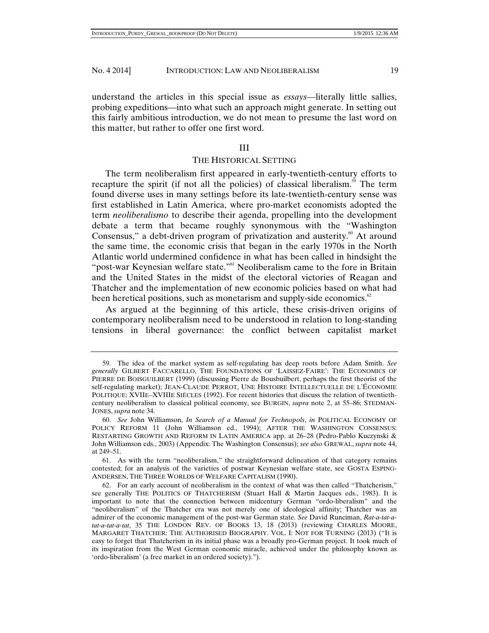understand the articles in this special issue as *essays*—literally little sallies, probing expeditions—into what such an approach might generate. In setting out this fairly ambitious introduction, we do not mean to presume the last word on this matter, but rather to offer one first word.

#### III

#### THE HISTORICAL SETTING

The term neoliberalism first appeared in early-twentieth-century efforts to recapture the spirit (if not all the policies) of classical liberalism.<sup>59</sup> The term found diverse uses in many settings before its late-twentieth-century sense was first established in Latin America, where pro-market economists adopted the term *neoliberalismo* to describe their agenda, propelling into the development debate a term that became roughly synonymous with the "Washington Consensus," a debt-driven program of privatization and austerity. $\degree$  At around the same time, the economic crisis that began in the early 1970s in the North Atlantic world undermined confidence in what has been called in hindsight the "post-war Keynesian welfare state."<sup>61</sup> Neoliberalism came to the fore in Britain and the United States in the midst of the electoral victories of Reagan and Thatcher and the implementation of new economic policies based on what had been heretical positions, such as monetarism and supply-side economics.<sup>62</sup>

As argued at the beginning of this article, these crisis-driven origins of contemporary neoliberalism need to be understood in relation to long-standing tensions in liberal governance: the conflict between capitalist market

 <sup>59.</sup> The idea of the market system as self-regulating has deep roots before Adam Smith. *See generally* GILBERT FACCARELLO, THE FOUNDATIONS OF 'LAISSEZ-FAIRE': THE ECONOMICS OF PIERRE DE BOISGUILBERT (1999) (discussing Pierre de Bousbuilbert, perhaps the first theorist of the self-regulating market); JEAN-CLAUDE PERROT, UNE HISTOIRE INTELLECTUELLE DE L'ÉCONOMIE POLITIQUE: XVIIE–XVIIIE SIÈCLES (1992). For recent histories that discuss the relation of twentiethcentury neoliberalism to classical political economy, see BURGIN, *supra* note 2, at 55–86; STEDMAN-JONES, *supra* note 34.

 <sup>60.</sup> *See* John Williamson, *In Search of a Manual for Technopols*, *in* POLITICAL ECONOMY OF POLICY REFORM 11 (John Williamson ed., 1994); AFTER THE WASHINGTON CONSENSUS: RESTARTING GROWTH AND REFORM IN LATIN AMERICA app. at 26–28 (Pedro-Pablo Kuczynski & John Williamson eds., 2003) (Appendix: The Washington Consensus); *see also* GREWAL, *supra* note 44, at 249–51.

 <sup>61.</sup> As with the term "neoliberalism," the straightforward delineation of that category remains contested; for an analysis of the varieties of postwar Keynesian welfare state, see GOSTA ESPING-ANDERSEN, THE THREE WORLDS OF WELFARE CAPITALISM (1990).

 <sup>62.</sup> For an early account of neoliberalism in the context of what was then called "Thatcherism," see generally THE POLITICS OF THATCHERISM (Stuart Hall & Martin Jacques eds., 1983). It is important to note that the connection between midcentury German "ordo-liberalism" and the "neoliberalism" of the Thatcher era was not merely one of ideological affinity; Thatcher was an admirer of the economic management of the post-war German state. *See* David Runciman, *Rat-a-tat-atat-a-tat-a-tat*, 35 THE LONDON REV. OF BOOKS 13, 18 (2013) (reviewing CHARLES MOORE, MARGARET THATCHER: THE AUTHORISED BIOGRAPHY. VOL. I: NOT FOR TURNING (2013) ("It is easy to forget that Thatcherism in its initial phase was a broadly pro-German project. It took much of its inspiration from the West German economic miracle, achieved under the philosophy known as 'ordo-liberalism' (a free market in an ordered society).").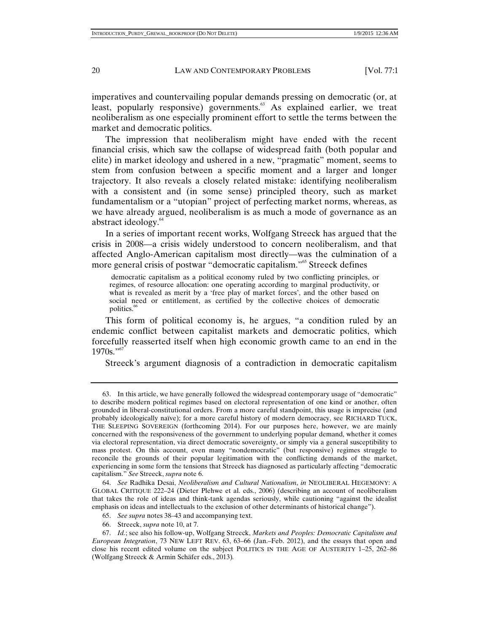imperatives and countervailing popular demands pressing on democratic (or, at least, popularly responsive) governments. $63$  As explained earlier, we treat neoliberalism as one especially prominent effort to settle the terms between the market and democratic politics.

The impression that neoliberalism might have ended with the recent financial crisis, which saw the collapse of widespread faith (both popular and elite) in market ideology and ushered in a new, "pragmatic" moment, seems to stem from confusion between a specific moment and a larger and longer trajectory. It also reveals a closely related mistake: identifying neoliberalism with a consistent and (in some sense) principled theory, such as market fundamentalism or a "utopian" project of perfecting market norms, whereas, as we have already argued, neoliberalism is as much a mode of governance as an abstract ideology.<sup>64</sup>

In a series of important recent works, Wolfgang Streeck has argued that the crisis in 2008—a crisis widely understood to concern neoliberalism, and that affected Anglo-American capitalism most directly—was the culmination of a more general crisis of postwar "democratic capitalism."<sup>65</sup> Streeck defines

 democratic capitalism as a political economy ruled by two conflicting principles, or regimes, of resource allocation: one operating according to marginal productivity, or what is revealed as merit by a 'free play of market forces', and the other based on social need or entitlement, as certified by the collective choices of democratic politics.<sup>66</sup>

This form of political economy is, he argues, "a condition ruled by an endemic conflict between capitalist markets and democratic politics, which forcefully reasserted itself when high economic growth came to an end in the  $1970s.$ "<sup>67</sup>

Streeck's argument diagnosis of a contradiction in democratic capitalism

66. Streeck, *supra* note 10, at 7.

 <sup>63.</sup> In this article, we have generally followed the widespread contemporary usage of "democratic" to describe modern political regimes based on electoral representation of one kind or another, often grounded in liberal-constitutional orders. From a more careful standpoint, this usage is imprecise (and probably ideologically naïve); for a more careful history of modern democracy, see RICHARD TUCK, THE SLEEPING SOVEREIGN (forthcoming 2014). For our purposes here, however, we are mainly concerned with the responsiveness of the government to underlying popular demand, whether it comes via electoral representation, via direct democratic sovereignty, or simply via a general susceptibility to mass protest. On this account, even many "nondemocratic" (but responsive) regimes struggle to reconcile the grounds of their popular legitimation with the conflicting demands of the market, experiencing in some form the tensions that Streeck has diagnosed as particularly affecting "democratic capitalism." *See* Streeck, *supra* note 6.

 <sup>64.</sup> *See* Radhika Desai, *Neoliberalism and Cultural Nationalism*, *in* NEOLIBERAL HEGEMONY: A GLOBAL CRITIQUE 222–24 (Dieter Plehwe et al. eds., 2006) (describing an account of neoliberalism that takes the role of ideas and think-tank agendas seriously, while cautioning "against the idealist emphasis on ideas and intellectuals to the exclusion of other determinants of historical change").

 <sup>65.</sup> *See supra* notes 38–43 and accompanying text.

 <sup>67.</sup> *Id.*; see also his follow-up, Wolfgang Streeck, *Markets and Peoples: Democratic Capitalism and European Integration*, 73 NEW LEFT REV. 63, 63–66 (Jan.–Feb. 2012), and the essays that open and close his recent edited volume on the subject POLITICS IN THE AGE OF AUSTERITY 1–25, 262–86 (Wolfgang Streeck & Armin Schäfer eds., 2013)*.*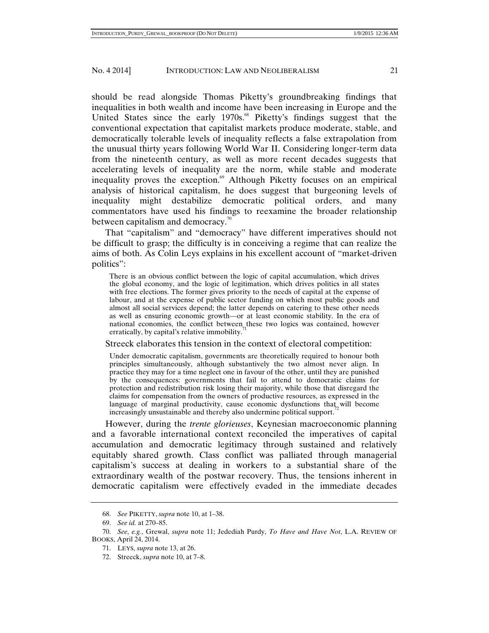should be read alongside Thomas Piketty's groundbreaking findings that inequalities in both wealth and income have been increasing in Europe and the United States since the early 1970s.<sup>68</sup> Piketty's findings suggest that the conventional expectation that capitalist markets produce moderate, stable, and democratically tolerable levels of inequality reflects a false extrapolation from the unusual thirty years following World War II. Considering longer-term data from the nineteenth century, as well as more recent decades suggests that accelerating levels of inequality are the norm, while stable and moderate inequality proves the exception.<sup>69</sup> Although Piketty focuses on an empirical analysis of historical capitalism, he does suggest that burgeoning levels of inequality might destabilize democratic political orders, and many commentators have used his findings to reexamine the broader relationship between capitalism and democracy.<sup>70</sup>

That "capitalism" and "democracy" have different imperatives should not be difficult to grasp; the difficulty is in conceiving a regime that can realize the aims of both. As Colin Leys explains in his excellent account of "market-driven politics":

There is an obvious conflict between the logic of capital accumulation, which drives the global economy, and the logic of legitimation, which drives politics in all states with free elections. The former gives priority to the needs of capital at the expense of labour, and at the expense of public sector funding on which most public goods and almost all social services depend; the latter depends on catering to these other needs as well as ensuring economic growth—or at least economic stability. In the era of national economies, the conflict between these two logics was contained, however erratically, by capital's relative immobility.

#### Streeck elaborates this tension in the context of electoral competition:

Under democratic capitalism, governments are theoretically required to honour both principles simultaneously, although substantively the two almost never align. In practice they may for a time neglect one in favour of the other, until they are punished by the consequences: governments that fail to attend to democratic claims for protection and redistribution risk losing their majority, while those that disregard the claims for compensation from the owners of productive resources, as expressed in the language of marginal productivity, cause economic dysfunctions that will become increasingly unsustainable and thereby also undermine political support.

However, during the *trente glorieuses*, Keynesian macroeconomic planning and a favorable international context reconciled the imperatives of capital accumulation and democratic legitimacy through sustained and relatively equitably shared growth. Class conflict was palliated through managerial capitalism's success at dealing in workers to a substantial share of the extraordinary wealth of the postwar recovery. Thus, the tensions inherent in democratic capitalism were effectively evaded in the immediate decades

72. Streeck, *supra* note 10, at 7–8.

 <sup>68.</sup> *See* PIKETTY, *supra* note 10, at 1–38.

 <sup>69.</sup> *See id.* at 270–85.

 <sup>70.</sup> *See*, *e.g.*, Grewal, *supra* note 11; Jedediah Purdy, *To Have and Have Not*, L.A. REVIEW OF BOOKS, April 24, 2014.

 <sup>71.</sup> LEYS, *supra* note 13, at 26.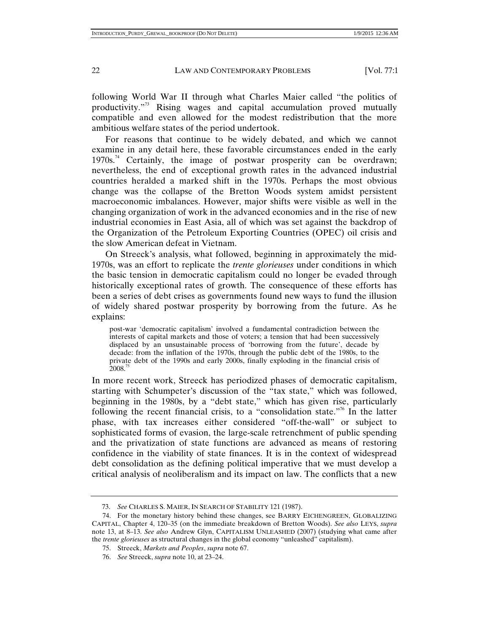following World War II through what Charles Maier called "the politics of productivity."73 Rising wages and capital accumulation proved mutually compatible and even allowed for the modest redistribution that the more ambitious welfare states of the period undertook.

For reasons that continue to be widely debated, and which we cannot examine in any detail here, these favorable circumstances ended in the early  $1970s^{74}$  Certainly, the image of postwar prosperity can be overdrawn; nevertheless, the end of exceptional growth rates in the advanced industrial countries heralded a marked shift in the 1970s. Perhaps the most obvious change was the collapse of the Bretton Woods system amidst persistent macroeconomic imbalances. However, major shifts were visible as well in the changing organization of work in the advanced economies and in the rise of new industrial economies in East Asia, all of which was set against the backdrop of the Organization of the Petroleum Exporting Countries (OPEC) oil crisis and the slow American defeat in Vietnam.

On Streeck's analysis, what followed, beginning in approximately the mid-1970s, was an effort to replicate the *trente glorieuses* under conditions in which the basic tension in democratic capitalism could no longer be evaded through historically exceptional rates of growth. The consequence of these efforts has been a series of debt crises as governments found new ways to fund the illusion of widely shared postwar prosperity by borrowing from the future. As he explains:

post-war 'democratic capitalism' involved a fundamental contradiction between the interests of capital markets and those of voters; a tension that had been successively displaced by an unsustainable process of 'borrowing from the future', decade by decade: from the inflation of the 1970s, through the public debt of the 1980s, to the private debt of the 1990s and early 2000s, finally exploding in the financial crisis of  $2008.<sup>75</sup>$ 

In more recent work, Streeck has periodized phases of democratic capitalism, starting with Schumpeter's discussion of the "tax state," which was followed, beginning in the 1980s, by a "debt state," which has given rise, particularly following the recent financial crisis, to a "consolidation state."<sup>76</sup> In the latter phase, with tax increases either considered "off-the-wall" or subject to sophisticated forms of evasion, the large-scale retrenchment of public spending and the privatization of state functions are advanced as means of restoring confidence in the viability of state finances. It is in the context of widespread debt consolidation as the defining political imperative that we must develop a critical analysis of neoliberalism and its impact on law. The conflicts that a new

 <sup>73.</sup> *See* CHARLES S. MAIER, IN SEARCH OF STABILITY 121 (1987).

 <sup>74.</sup> For the monetary history behind these changes, see BARRY EICHENGREEN, GLOBALIZING CAPITAL, Chapter 4, 120–35 (on the immediate breakdown of Bretton Woods). *See also* LEYS, *supra* note 13, at 8–13. *See also* Andrew Glyn, CAPITALISM UNLEASHED (2007) (studying what came after the *trente glorieuses* as structural changes in the global economy "unleashed" capitalism).

 <sup>75.</sup> Streeck, *Markets and Peoples*, *supra* note 67.

 <sup>76.</sup> *See* Streeck, *supra* note 10, at 23–24.